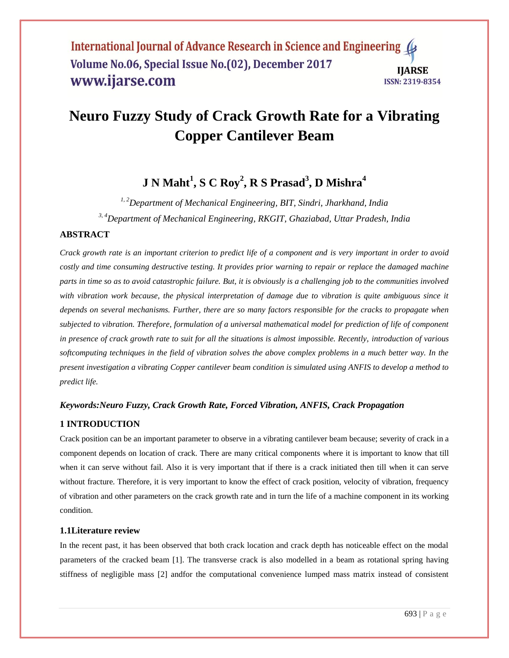# **Neuro Fuzzy Study of Crack Growth Rate for a Vibrating Copper Cantilever Beam**

# **J N Maht<sup>1</sup> , S C Roy<sup>2</sup> , R S Prasad<sup>3</sup> , D Mishra<sup>4</sup>**

*1, 2Department of Mechanical Engineering, BIT, Sindri, Jharkhand, India 3, 4Department of Mechanical Engineering, RKGIT, Ghaziabad, Uttar Pradesh, India*

# **ABSTRACT**

*Crack growth rate is an important criterion to predict life of a component and is very important in order to avoid costly and time consuming destructive testing. It provides prior warning to repair or replace the damaged machine parts in time so as to avoid catastrophic failure. But, it is obviously is a challenging job to the communities involved*  with vibration work because, the physical interpretation of damage due to vibration is quite ambiguous since it *depends on several mechanisms. Further, there are so many factors responsible for the cracks to propagate when subjected to vibration. Therefore, formulation of a universal mathematical model for prediction of life of component in presence of crack growth rate to suit for all the situations is almost impossible. Recently, introduction of various softcomputing techniques in the field of vibration solves the above complex problems in a much better way. In the present investigation a vibrating Copper cantilever beam condition is simulated using ANFIS to develop a method to predict life.*

# *Keywords:Neuro Fuzzy, Crack Growth Rate, Forced Vibration, ANFIS, Crack Propagation*

# **1 INTRODUCTION**

Crack position can be an important parameter to observe in a vibrating cantilever beam because; severity of crack in a component depends on location of crack. There are many critical components where it is important to know that till when it can serve without fail. Also it is very important that if there is a crack initiated then till when it can serve without fracture. Therefore, it is very important to know the effect of crack position, velocity of vibration, frequency of vibration and other parameters on the crack growth rate and in turn the life of a machine component in its working condition.

# **1.1Literature review**

In the recent past, it has been observed that both crack location and crack depth has noticeable effect on the modal parameters of the cracked beam [\[1\]](#page-5-0). The transverse crack is also modelled in a beam as rotational spring having stiffness of negligible mass [\[2\]](#page-5-1) andfor the computational convenience lumped mass matrix instead of consistent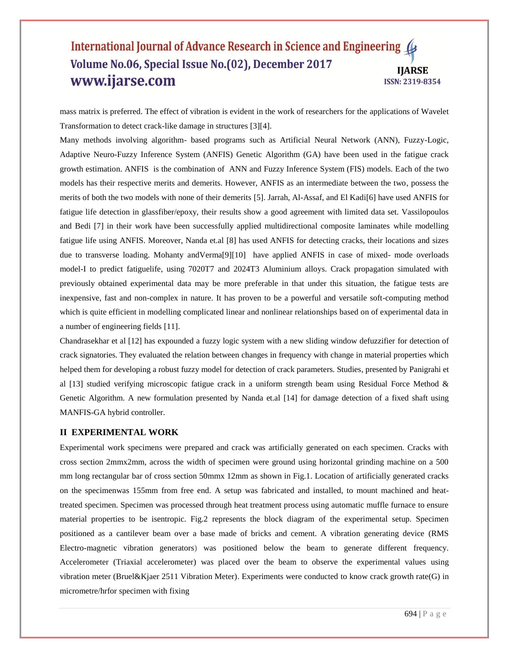mass matrix is preferred. The effect of vibration is evident in the work of researchers for the applications of Wavelet Transformation to detect crack-like damage in structures [\[3\]](#page-5-2)[\[4\]](#page-5-3).

Many methods involving algorithm- based programs such as Artificial Neural Network (ANN), Fuzzy-Logic, Adaptive Neuro-Fuzzy Inference System (ANFIS) Genetic Algorithm (GA) have been used in the fatigue crack growth estimation. ANFIS is the combination of ANN and Fuzzy Inference System (FIS) models. Each of the two models has their respective merits and demerits. However, ANFIS as an intermediate between the two, possess the merits of both the two models with none of their demerits [\[5\]](#page-5-4). Jarrah, Al-Assaf, and El Kadi[\[6\]](#page-5-5) have used ANFIS for fatigue life detection in glassfiber/epoxy, their results show a good agreement with limited data set. Vassilopoulos and Bedi [\[7\]](#page-6-0) in their work have been successfully applied multidirectional composite laminates while modelling fatigue life using ANFIS. Moreover, Nanda et.al [\[8\]](#page-6-1) has used ANFIS for detecting cracks, their locations and sizes due to transverse loading. Mohanty andVerma[\[9\]](#page-6-2)[\[10\]](#page-6-3) have applied ANFIS in case of mixed- mode overloads model-I to predict fatiguelife, using 7020T7 and 2024T3 Aluminium alloys. Crack propagation simulated with previously obtained experimental data may be more preferable in that under this situation, the fatigue tests are inexpensive, fast and non-complex in nature. It has proven to be a powerful and versatile soft-computing method which is quite efficient in modelling complicated linear and nonlinear relationships based on of experimental data in a number of engineering fields [\[11\]](#page-6-4).

Chandrasekhar et al [\[12\]](#page-6-5) has expounded a fuzzy logic system with a new sliding window defuzzifier for detection of crack signatories. They evaluated the relation between changes in frequency with change in material properties which helped them for developing a robust fuzzy model for detection of crack parameters. Studies, presented by Panigrahi et al [\[13\]](#page-6-6) studied verifying microscopic fatigue crack in a uniform strength beam using Residual Force Method & Genetic Algorithm. A new formulation presented by Nanda et.al [\[14\]](#page-6-7) for damage detection of a fixed shaft using MANFIS-GA hybrid controller.

#### **II EXPERIMENTAL WORK**

Experimental work specimens were prepared and crack was artificially generated on each specimen. Cracks with cross section 2mmx2mm, across the width of specimen were ground using horizontal grinding machine on a 500 mm long rectangular bar of cross section 50mmx 12mm as shown in Fig.1. Location of artificially generated cracks on the specimenwas 155mm from free end. A setup was fabricated and installed, to mount machined and heattreated specimen. Specimen was processed through heat treatment process using automatic muffle furnace to ensure material properties to be isentropic. Fig.2 represents the block diagram of the experimental setup. Specimen positioned as a cantilever beam over a base made of bricks and cement. A vibration generating device (RMS Electro-magnetic vibration generators) was positioned below the beam to generate different frequency. Accelerometer (Triaxial accelerometer) was placed over the beam to observe the experimental values using vibration meter (Bruel&Kjaer 2511 Vibration Meter). Experiments were conducted to know crack growth rate(G) in micrometre/hrfor specimen with fixing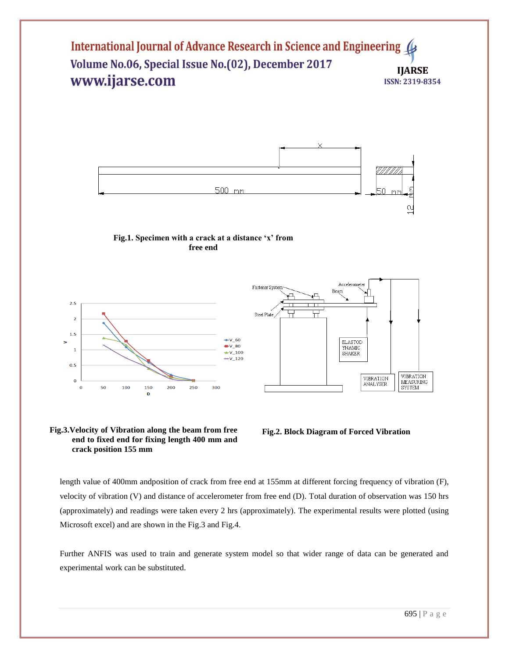











length value of 400mm andposition of crack from free end at 155mm at different forcing frequency of vibration (F), velocity of vibration (V) and distance of accelerometer from free end (D). Total duration of observation was 150 hrs (approximately) and readings were taken every 2 hrs (approximately). The experimental results were plotted (using Microsoft excel) and are shown in the Fig.3 and Fig.4.

Further ANFIS was used to train and generate system model so that wider range of data can be generated and experimental work can be substituted.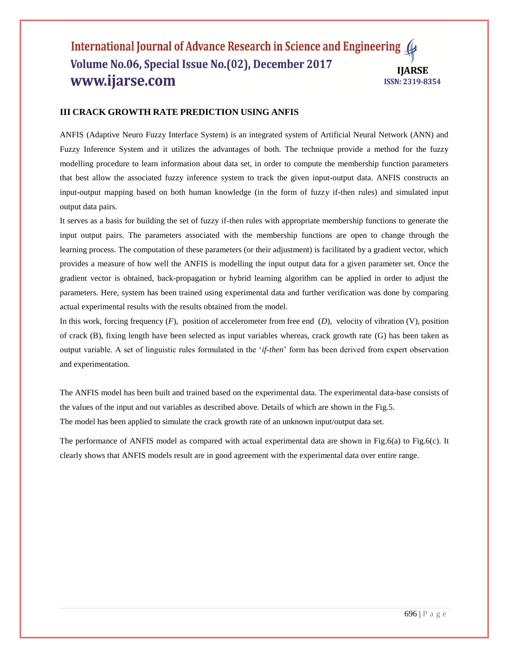#### **III CRACK GROWTH RATE PREDICTION USING ANFIS**

ANFIS (Adaptive Neuro Fuzzy Interface System) is an integrated system of Artificial Neural Network (ANN) and Fuzzy Inference System and it utilizes the advantages of both. The technique provide a method for the fuzzy modelling procedure to learn information about data set, in order to compute the membership function parameters that best allow the associated fuzzy inference system to track the given input-output data. ANFIS constructs an input-output mapping based on both human knowledge (in the form of fuzzy if-then rules) and simulated input output data pairs.

It serves as a basis for building the set of fuzzy if-then rules with appropriate membership functions to generate the input output pairs. The parameters associated with the membership functions are open to change through the learning process. The computation of these parameters (or their adjustment) is facilitated by a gradient vector, which provides a measure of how well the ANFIS is modelling the input output data for a given parameter set. Once the gradient vector is obtained, back-propagation or hybrid learning algorithm can be applied in order to adjust the parameters. Here, system has been trained using experimental data and further verification was done by comparing actual experimental results with the results obtained from the model.

In this work, forcing frequency (*F*), position of accelerometer from free end (*D*), velocity of vibration (V), position of crack (B), fixing length have been selected as input variables whereas, crack growth rate (G) has been taken as output variable. A set of linguistic rules formulated in the '*if-then*' form has been derived from expert observation and experimentation.

The ANFIS model has been built and trained based on the experimental data. The experimental data-base consists of the values of the input and out variables as described above. Details of which are shown in the Fig.5. The model has been applied to simulate the crack growth rate of an unknown input/output data set.

The performance of ANFIS model as compared with actual experimental data are shown in Fig.6(a) to Fig.6(c). It clearly shows that ANFIS models result are in good agreement with the experimental data over entire range.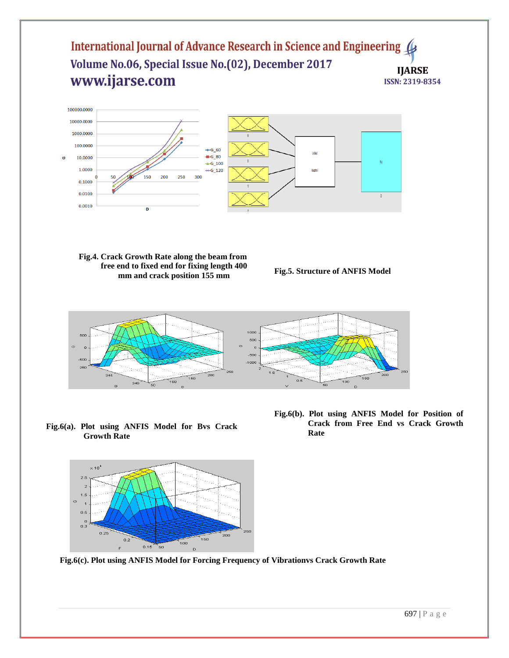

**Fig.4. Crack Growth Rate along the beam from free end to fixed end for fixing length 400 mm and crack position 155 mm**

**Fig.5. Structure of ANFIS Model**



**Fig.6(a). Plot using ANFIS Model for Bvs Crack Growth Rate**



**Fig.6(c). Plot using ANFIS Model for Forcing Frequency of Vibrationvs Crack Growth Rate**

**Fig.6(b). Plot using ANFIS Model for Position of Crack from Free End vs Crack Growth Rate**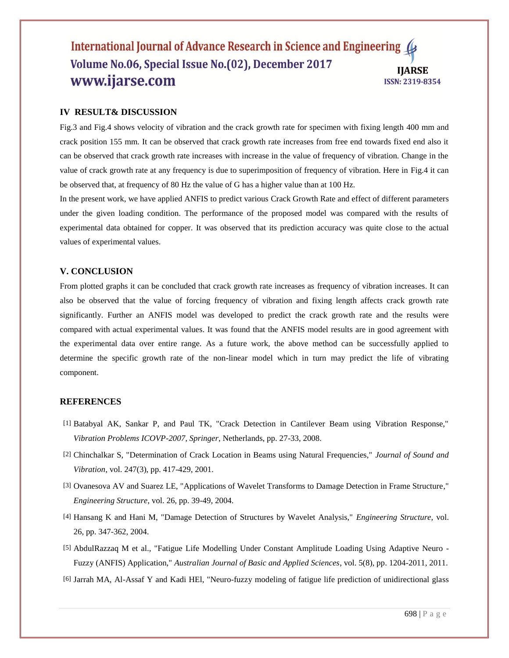#### **IV RESULT& DISCUSSION**

Fig.3 and Fig.4 shows velocity of vibration and the crack growth rate for specimen with fixing length 400 mm and crack position 155 mm. It can be observed that crack growth rate increases from free end towards fixed end also it can be observed that crack growth rate increases with increase in the value of frequency of vibration. Change in the value of crack growth rate at any frequency is due to superimposition of frequency of vibration. Here in Fig.4 it can be observed that, at frequency of 80 Hz the value of G has a higher value than at 100 Hz.

In the present work, we have applied ANFIS to predict various Crack Growth Rate and effect of different parameters under the given loading condition. The performance of the proposed model was compared with the results of experimental data obtained for copper. It was observed that its prediction accuracy was quite close to the actual values of experimental values.

#### **V. CONCLUSION**

From plotted graphs it can be concluded that crack growth rate increases as frequency of vibration increases. It can also be observed that the value of forcing frequency of vibration and fixing length affects crack growth rate significantly. Further an ANFIS model was developed to predict the crack growth rate and the results were compared with actual experimental values. It was found that the ANFIS model results are in good agreement with the experimental data over entire range. As a future work, the above method can be successfully applied to determine the specific growth rate of the non-linear model which in turn may predict the life of vibrating component.

#### **REFERENCES**

- <span id="page-5-0"></span>[1] Batabyal AK, Sankar P, and Paul TK, "Crack Detection in Cantilever Beam using Vibration Response," *Vibration Problems ICOVP-2007, Springer*, Netherlands, pp. 27-33, 2008.
- <span id="page-5-1"></span>[2] Chinchalkar S, "Determination of Crack Location in Beams using Natural Frequencies," *Journal of Sound and Vibration*, vol. 247(3), pp. 417-429, 2001.
- <span id="page-5-2"></span>[3] Ovanesova AV and Suarez LE, "Applications of Wavelet Transforms to Damage Detection in Frame Structure," *Engineering Structure*, vol. 26, pp. 39-49, 2004.
- <span id="page-5-3"></span>[4] Hansang K and Hani M, "Damage Detection of Structures by Wavelet Analysis," *Engineering Structure*, vol. 26, pp. 347-362, 2004.
- <span id="page-5-4"></span>[5] AbdulRazzaq M et al., "Fatigue Life Modelling Under Constant Amplitude Loading Using Adaptive Neuro - Fuzzy (ANFIS) Application," *Australian Journal of Basic and Applied Sciences*, vol. 5(8), pp. 1204-2011, 2011.
- <span id="page-5-5"></span>[6] Jarrah MA, Al-Assaf Y and Kadi HEl, "Neuro-fuzzy modeling of fatigue life prediction of unidirectional glass